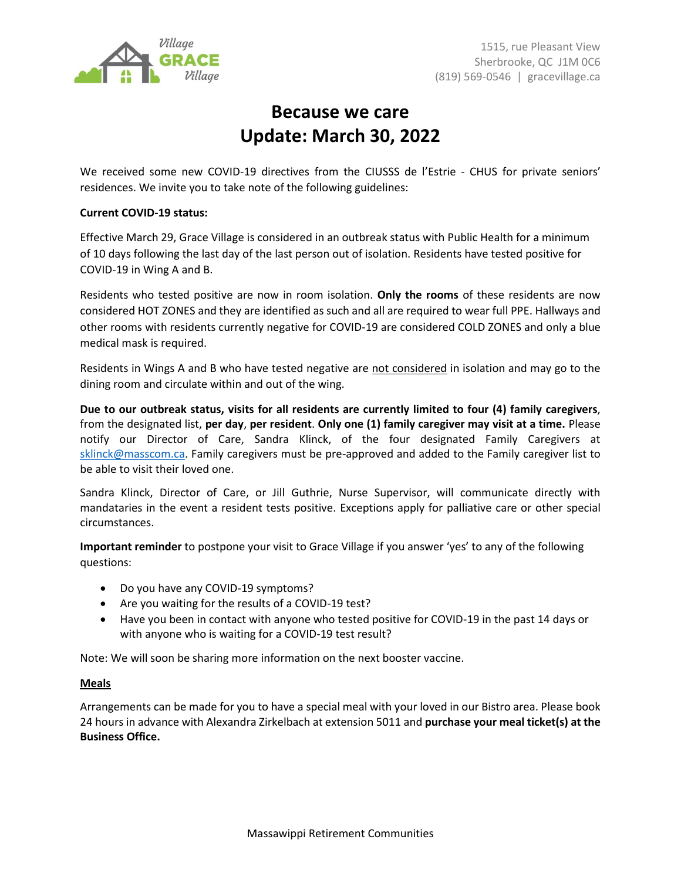

## **Because we care Update: March 30, 2022**

We received some new COVID-19 directives from the CIUSSS de l'Estrie - CHUS for private seniors' residences. We invite you to take note of the following guidelines:

## **Current COVID-19 status:**

Effective March 29, Grace Village is considered in an outbreak status with Public Health for a minimum of 10 days following the last day of the last person out of isolation. Residents have tested positive for COVID-19 in Wing A and B.

Residents who tested positive are now in room isolation. **Only the rooms** of these residents are now considered HOT ZONES and they are identified as such and all are required to wear full PPE. Hallways and other rooms with residents currently negative for COVID-19 are considered COLD ZONES and only a blue medical mask is required.

Residents in Wings A and B who have tested negative are not considered in isolation and may go to the dining room and circulate within and out of the wing.

**Due to our outbreak status, visits for all residents are currently limited to four (4) family caregivers**, from the designated list, **per day**, **per resident**. **Only one (1) family caregiver may visit at a time.** Please notify our Director of Care, Sandra Klinck, of the four designated Family Caregivers at [sklinck@masscom.ca.](mailto:sklinck@masscom.ca) Family caregivers must be pre-approved and added to the Family caregiver list to be able to visit their loved one.

Sandra Klinck, Director of Care, or Jill Guthrie, Nurse Supervisor, will communicate directly with mandataries in the event a resident tests positive. Exceptions apply for palliative care or other special circumstances.

**Important reminder** to postpone your visit to Grace Village if you answer 'yes' to any of the following questions:

- Do you have any COVID-19 symptoms?
- Are you waiting for the results of a COVID-19 test?
- Have you been in contact with anyone who tested positive for COVID-19 in the past 14 days or with anyone who is waiting for a COVID-19 test result?

Note: We will soon be sharing more information on the next booster vaccine.

## **Meals**

Arrangements can be made for you to have a special meal with your loved in our Bistro area. Please book 24 hours in advance with Alexandra Zirkelbach at extension 5011 and **purchase your meal ticket(s) at the Business Office.**